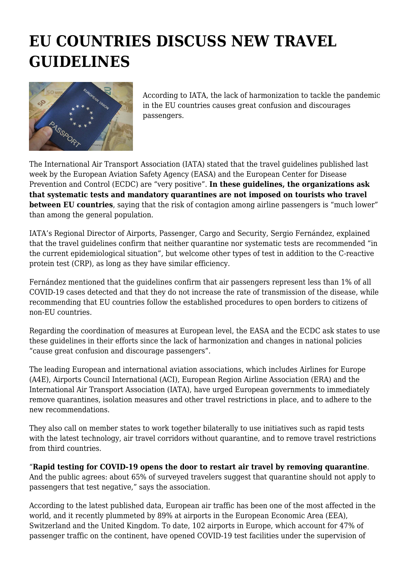## **EU COUNTRIES DISCUSS NEW TRAVEL GUIDELINES**



According to IATA, the lack of harmonization to tackle the pandemic in the EU countries causes great confusion and discourages passengers.

The International Air Transport Association (IATA) stated that the travel guidelines published last week by the European Aviation Safety Agency (EASA) and the European Center for Disease Prevention and Control (ECDC) are "very positive". **In these guidelines, the organizations ask that systematic tests and mandatory quarantines are not imposed on tourists who travel between EU countries**, saying that the risk of contagion among airline passengers is "much lower" than among the general population.

IATA's Regional Director of Airports, Passenger, Cargo and Security, Sergio Fernández, explained that the travel guidelines confirm that neither quarantine nor systematic tests are recommended "in the current epidemiological situation", but welcome other types of test in addition to the C-reactive protein test (CRP), as long as they have similar efficiency.

Fernández mentioned that the guidelines confirm that air passengers represent less than 1% of all COVID-19 cases detected and that they do not increase the rate of transmission of the disease, while recommending that EU countries follow the established procedures to open borders to citizens of non-EU countries.

Regarding the coordination of measures at European level, the EASA and the ECDC ask states to use these guidelines in their efforts since the lack of harmonization and changes in national policies "cause great confusion and discourage passengers".

The leading European and international aviation associations, which includes Airlines for Europe (A4E), Airports Council International (ACI), European Region Airline Association (ERA) and the International Air Transport Association (IATA), have urged European governments to immediately remove quarantines, isolation measures and other travel restrictions in place, and to adhere to the new recommendations.

They also call on member states to work together bilaterally to use initiatives such as rapid tests with the latest technology, air travel corridors without quarantine, and to remove travel restrictions from third countries.

## "**Rapid testing for COVID-19 opens the door to restart air travel by removing quarantine**.

And the public agrees: about 65% of surveyed travelers suggest that quarantine should not apply to passengers that test negative," says the association.

According to the latest published data, European air traffic has been one of the most affected in the world, and it recently plummeted by 89% at airports in the European Economic Area (EEA), Switzerland and the United Kingdom. To date, 102 airports in Europe, which account for 47% of passenger traffic on the continent, have opened COVID-19 test facilities under the supervision of